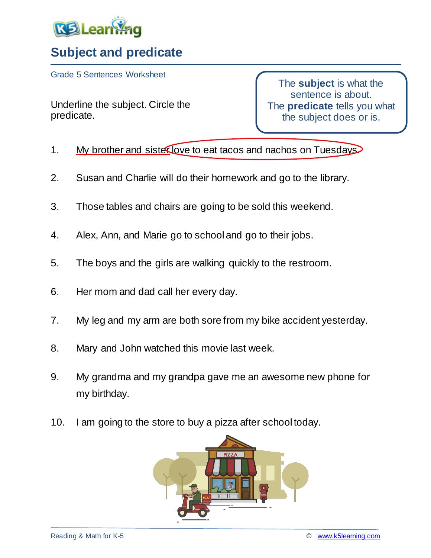

## **Subject and predicate**

Grade 5 Sentences Worksheet

Underline the subject. Circle the predicate.

The **subject** is what the sentence is about. The **predicate** tells you what the subject does or is.

- 1. My brother and sister love to eat tacos and nachos on Tuesdays.
- 2. Susan and Charlie will do their homework and go to the library.
- 3. Those tables and chairs are going to be sold this weekend.
- 4. Alex, Ann, and Marie go to school and go to their jobs.
- 5. The boys and the girls are walking quickly to the restroom.
- 6. Her mom and dad call her every day.
- 7. My leg and my arm are both sore from my bike accident yesterday.
- 8. Mary and John watched this movie last week.
- 9. My grandma and my grandpa gave me an awesome new phone for my birthday.
- 10. I am going to the store to buy a pizza after school today.